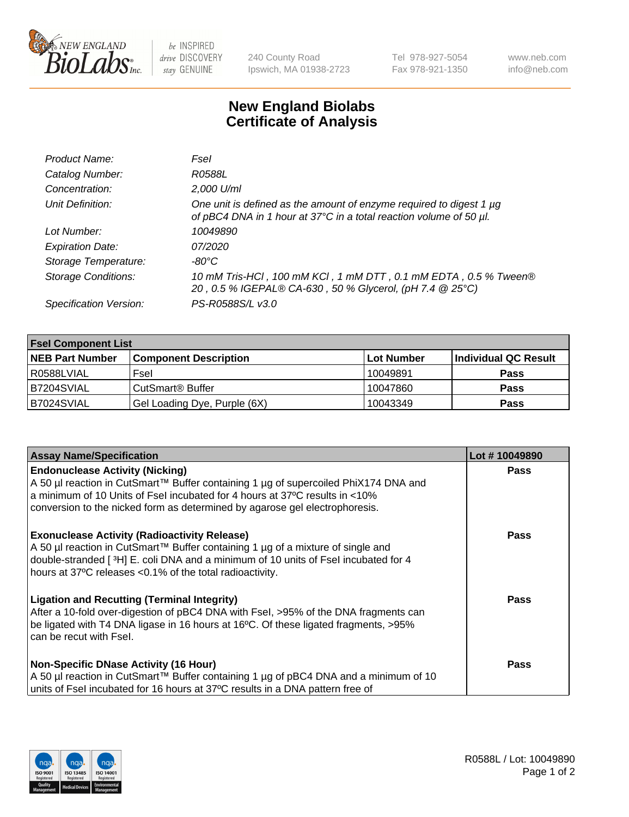

 $be$  INSPIRED drive DISCOVERY stay GENUINE

240 County Road Ipswich, MA 01938-2723 Tel 978-927-5054 Fax 978-921-1350 www.neb.com info@neb.com

## **New England Biolabs Certificate of Analysis**

| Product Name:              | Fsel                                                                                                                                      |
|----------------------------|-------------------------------------------------------------------------------------------------------------------------------------------|
| Catalog Number:            | R0588L                                                                                                                                    |
| Concentration:             | 2,000 U/ml                                                                                                                                |
| Unit Definition:           | One unit is defined as the amount of enzyme required to digest 1 µg<br>of pBC4 DNA in 1 hour at 37°C in a total reaction volume of 50 µl. |
| Lot Number:                | 10049890                                                                                                                                  |
| <b>Expiration Date:</b>    | <i>07/2020</i>                                                                                                                            |
| Storage Temperature:       | -80°C                                                                                                                                     |
| <b>Storage Conditions:</b> | 10 mM Tris-HCl, 100 mM KCl, 1 mM DTT, 0.1 mM EDTA, 0.5 % Tween®<br>20, 0.5 % IGEPAL® CA-630, 50 % Glycerol, (pH 7.4 @ 25°C)               |
| Specification Version:     | PS-R0588S/L v3.0                                                                                                                          |

| <b>Fsel Component List</b> |                              |            |                      |  |  |
|----------------------------|------------------------------|------------|----------------------|--|--|
| <b>NEB Part Number</b>     | <b>Component Description</b> | Lot Number | Individual QC Result |  |  |
| R0588LVIAL                 | Fsel                         | 10049891   | <b>Pass</b>          |  |  |
| B7204SVIAL                 | CutSmart <sup>®</sup> Buffer | 10047860   | <b>Pass</b>          |  |  |
| B7024SVIAL                 | Gel Loading Dye, Purple (6X) | 10043349   | <b>Pass</b>          |  |  |

| <b>Assay Name/Specification</b>                                                                                                                                                                                                                                                          | Lot #10049890 |
|------------------------------------------------------------------------------------------------------------------------------------------------------------------------------------------------------------------------------------------------------------------------------------------|---------------|
| <b>Endonuclease Activity (Nicking)</b><br>  A 50 µl reaction in CutSmart™ Buffer containing 1 µg of supercoiled PhiX174 DNA and<br>a minimum of 10 Units of Fsel incubated for 4 hours at 37°C results in <10%                                                                           | <b>Pass</b>   |
| conversion to the nicked form as determined by agarose gel electrophoresis.                                                                                                                                                                                                              |               |
| <b>Exonuclease Activity (Radioactivity Release)</b><br>A 50 µl reaction in CutSmart™ Buffer containing 1 µg of a mixture of single and<br>double-stranded [3H] E. coli DNA and a minimum of 10 units of Fsel incubated for 4<br>hours at 37°C releases <0.1% of the total radioactivity. | <b>Pass</b>   |
| <b>Ligation and Recutting (Terminal Integrity)</b><br>After a 10-fold over-digestion of pBC4 DNA with Fsel, >95% of the DNA fragments can<br>be ligated with T4 DNA ligase in 16 hours at 16°C. Of these ligated fragments, >95%<br>can be recut with Fsel.                              | Pass          |
| <b>Non-Specific DNase Activity (16 Hour)</b>                                                                                                                                                                                                                                             | <b>Pass</b>   |
| A 50 µl reaction in CutSmart™ Buffer containing 1 µg of pBC4 DNA and a minimum of 10<br>units of Fsel incubated for 16 hours at 37°C results in a DNA pattern free of                                                                                                                    |               |